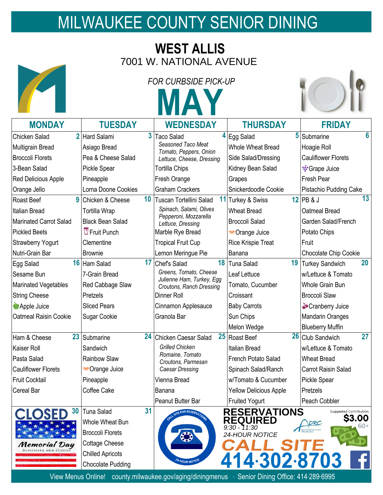## MILWAUKEE COUNTY SENIOR DINING

## **WEST ALLIS** 7001 W. NATIONAL AVENUE

ĸ

|                                 | <b>FOR CURBSIDE PICK-UP</b> |    |                                                     |  |                                   |  |                                  |
|---------------------------------|-----------------------------|----|-----------------------------------------------------|--|-----------------------------------|--|----------------------------------|
|                                 |                             |    | <b>AA</b>                                           |  |                                   |  |                                  |
| <b>MONDAY</b>                   | <b>TUESDAY</b>              |    | <b>WEDNESDAY</b>                                    |  | <b>THURSDAY</b>                   |  | <b>FRIDAY</b>                    |
| $\overline{2}$<br>Chicken Salad | Hard Salami                 | 3  | <b>Taco Salad</b>                                   |  | 4 Egg Salad                       |  | 6<br>5 Submarine                 |
| Multigrain Bread                | Asiago Bread                |    | Seasoned Taco Meat<br>Tomato, Peppers, Onion        |  | <b>Whole Wheat Bread</b>          |  | Hoagie Roll                      |
| <b>Broccoli Florets</b>         | Pea & Cheese Salad          |    | Lettuce, Cheese, Dressing                           |  | Side Salad/Dressing               |  | <b>Cauliflower Florets</b>       |
| 3-Bean Salad                    | Pickle Spear                |    | Tortilla Chips                                      |  | Kidney Bean Salad                 |  | <b><sup>•</sup>•</b> Grape Juice |
| Red Delicious Apple             | Pineapple                   |    | Fresh Orange                                        |  | Grapes                            |  | Fresh Pear                       |
| Orange Jello                    | Lorna Doone Cookies         |    | <b>Graham Crackers</b>                              |  | Snickerdoodle Cookie              |  | Pistachio Pudding Cake           |
| g<br>Roast Beef                 | Chicken & Cheese            | 10 | Tuscan Tortellini Salad                             |  | 11 Turkey & Swiss                 |  | 13<br>$12$ PB & J                |
| <b>Italian Bread</b>            | Tortilla Wrap               |    | Spinach, Salami, Olives                             |  | <b>Wheat Bread</b>                |  | Oatmeal Bread                    |
| <b>Marinated Carrot Salad</b>   | <b>Black Bean Salad</b>     |    | Pepperoni, Mozzarella<br>Lettuce, Dressing          |  | <b>Broccoli Salad</b>             |  | Garden Salad/French              |
| <b>Pickled Beets</b>            | $\overline{U}$ Fruit Punch  |    | Marble Rye Bread                                    |  | Crange Juice                      |  | Potato Chips                     |
| <b>Strawberry Yogurt</b>        | Clementine                  |    | <b>Tropical Fruit Cup</b>                           |  | <b>Rice Krispie Treat</b>         |  | Fruit                            |
| Nutri-Grain Bar                 | <b>Brownie</b>              |    | Lemon Meringue Pie                                  |  | Banana                            |  | Chocolate Chip Cookie            |
| Egg Salad                       | 16 Ham Salad                | 17 | Chef's Salad                                        |  | 18 Tuna Salad                     |  | 20<br>19 Turkey Sandwich         |
| Sesame Bun                      | 7-Grain Bread               |    | Greens, Tomato, Cheese<br>Julienne Ham, Turkey, Egg |  | Leaf Lettuce                      |  | w/Lettuce & Tomato               |
| Marinated Vegetables            | Red Cabbage Slaw            |    | Croutons, Ranch Dressing                            |  | Tomato, Cucumber                  |  | Whole Grain Bun                  |
| <b>String Cheese</b>            | Pretzels                    |    | Dinner Roll                                         |  | Croissant                         |  | <b>Broccoli Slaw</b>             |
| Apple Juice                     | <b>Sliced Pears</b>         |    | Cinnamon Applesauce                                 |  | <b>Baby Carrots</b>               |  | Cranberry Juice                  |
| Oatmeal Raisin Cookie           | Sugar Cookie                |    | Granola Bar                                         |  | Sun Chips                         |  | <b>Mandarin Oranges</b>          |
|                                 |                             |    |                                                     |  | Melon Wedge                       |  | <b>Blueberry Muffin</b>          |
| 23<br>Ham & Cheese              | Submarine                   |    | 24 Chicken Caesar Salad                             |  | 25 Roast Beef                     |  | 26 Club Sandwich<br>27           |
| <b>Kaiser Roll</b>              | Sandwich                    |    | <b>Grilled Chicken</b>                              |  | <b>Italian Bread</b>              |  | w/Lettuce & Tomato               |
| Pasta Salad                     | Rainbow Slaw                |    | Romaine, Tomato<br>Croutons, Parmesan               |  | French Potato Salad               |  | <b>Wheat Bread</b>               |
| <b>Cauliflower Florets</b>      | Crange Juice                |    | Caesar Dressing                                     |  | Spinach Salad/Ranch               |  | <b>Carrot Raisin Salad</b>       |
| <b>Fruit Cocktail</b>           | Pineapple                   |    | Vienna Bread                                        |  | w/Tomato & Cucumber               |  | Pickle Spear                     |
| Cereal Bar                      | Coffee Cake                 |    | Banana                                              |  | <b>Yellow Delicious Apple</b>     |  | Pretzels                         |
|                                 |                             |    | Peanut Butter Bar                                   |  | <b>Fruited Yogurt</b>             |  | Peach Cobbler                    |
| 30                              | Tuna Salad                  | 31 | FOR RESERVATION                                     |  | <b>RESERVATIONS</b>               |  | Suggested Contribution           |
|                                 | Whole Wheat Bun             |    |                                                     |  | <b>REQUIRED</b><br>$9:30 - 11:30$ |  | <b>S3.00</b><br>60+              |
|                                 | <b>Broccoli Florets</b>     |    | €                                                   |  | 24-HOUR NOTICE                    |  |                                  |
| Memorial Day                    | <b>Cottage Cheese</b>       |    |                                                     |  |                                   |  |                                  |
| REMEMBER AND HONO!              | <b>Chilled Apricots</b>     |    |                                                     |  |                                   |  |                                  |
|                                 | <b>Chocolate Pudding</b>    |    | 24-HOUR NOTICE                                      |  | 414.302.8703                      |  |                                  |
|                                 |                             |    |                                                     |  |                                   |  |                                  |